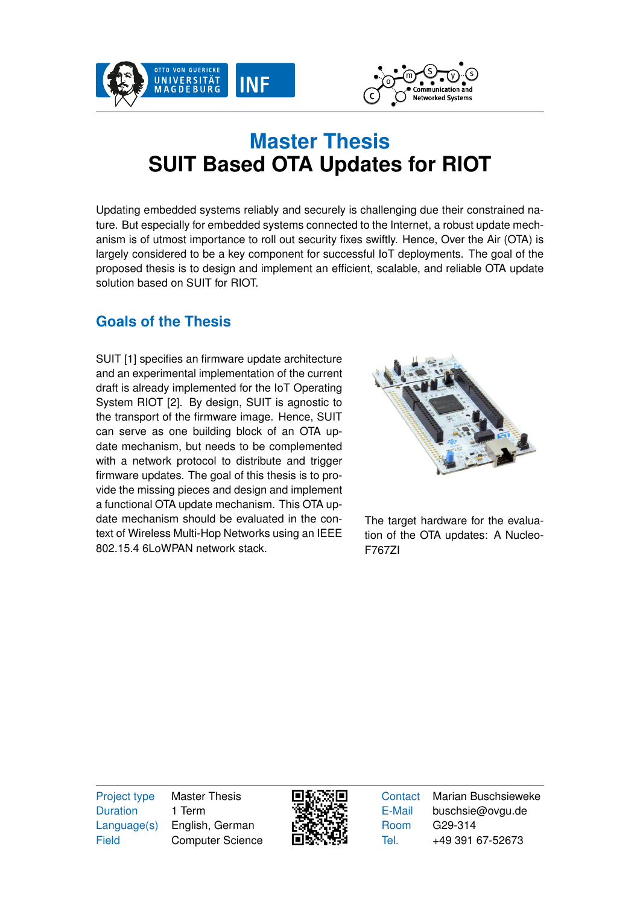



## **Master Thesis SUIT Based OTA Updates for RIOT**

Updating embedded systems reliably and securely is challenging due their constrained nature. But especially for embedded systems connected to the Internet, a robust update mechanism is of utmost importance to roll out security fixes swiftly. Hence, Over the Air (OTA) is largely considered to be a key component for successful IoT deployments. The goal of the proposed thesis is to design and implement an efficient, scalable, and reliable OTA update solution based on SUIT for RIOT.

## **Goals of the Thesis**

SUIT [\[1\]](#page-1-0) specifies an firmware update architecture and an experimental implementation of the current draft is already implemented for the IoT Operating System RIOT [\[2\]](#page-1-1). By design, SUIT is agnostic to the transport of the firmware image. Hence, SUIT can serve as one building block of an OTA update mechanism, but needs to be complemented with a network protocol to distribute and trigger firmware updates. The goal of this thesis is to provide the missing pieces and design and implement a functional OTA update mechanism. This OTA update mechanism should be evaluated in the context of Wireless Multi-Hop Networks using an IEEE 802.15.4 6LoWPAN network stack.



The target hardware for the evaluation of the OTA updates: A Nucleo-F767ZI

Duration 1 Term

Project type Master Thesis Language(s) English, German Field Computer Science



Contact Marian Buschsieweke E-Mail buschsie@ovgu.de Room G29-314 Tel. +49 391 67-52673